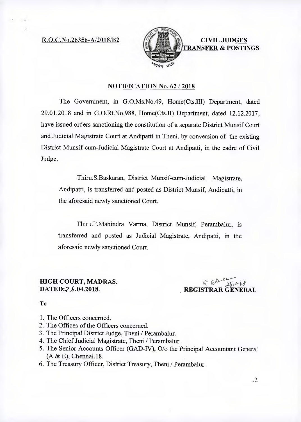R.O.C.No.26356-A/2018/B2



### NOTIFICATION No. 62 / 2018

The Government, in G.O.Ms.No.49, Home(Cts.III) Department, dated 29.01.2018 and in G.O.Rt.No.988, Home(Cts.II) Department, dated 12.12.2017, have issued orders sanctioning the constitution of a separate District Munsif Court and Judicial Magistrate Court at Andipatti in Theni, by conversion of the existing District Munsif-cum-Judicial Magistrate Court at Andipatti, in the cadre of Civil Judge.

Thiru.S.Baskaran, District Munsif-cum-Judicial Magistrate, Andipatti, is transferred and posted as District Munsif, Andipatti, in the aforesaid newly sanctioned Court.

Thiru.P.Mahindra Varma, District Munsif, Perambalur, is transferred and posted as Judicial Magistrate, Andipatti, in the aforesaid newly sanctioned Court.

## **HIGH COURT, MADRAS. DATED:26.04.2018.**

*A19-10*  **REGISTRAR GENERAL** 

#### To

- 1. The Officers concerned.
- 2. The Offices of the Officers concerned.
- 3. The Principal District Judge, Theni / Perambalur.
- 4. The Chief Judicial Magistrate, Theni / Perambalur.
- 5. The Senior Accounts Officer (GAD-IV), 0/o the Principal Accountant General (A & E), Chennai.18.
- 6. The Treasury Officer, District Treasury, Theni / Perambalur.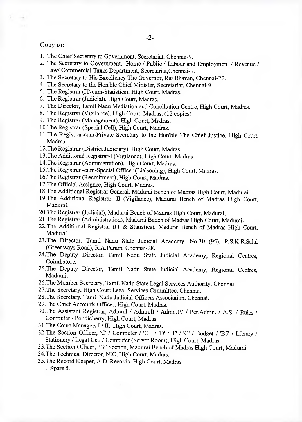### Copy to:

- 1. The Chief Secretary to Government, Secretariat, Chennai-9.
- 2. The Secretary to Government, Home / Public / Labour and Employment / Revenue / Law/ Commercial Taxes Department, Secretariat,Chennai-9.
- 3. The Secretary to His Excellency The Governor, Raj Bhavan, Chennai-22.
- 4. The Secretary to the Hon'ble Chief Minister, Secretariat, Chennai-9.
- 5. The Registrar (IT-cum-Statistics), High Court, Madras.
- 6. The Registrar (Judicial), High Court, Madras.
- 7. The Director, Tamil Nadu Mediation and Conciliation Centre, High Court, Madras.
- 8. The Registrar (Vigilance), High Court, Madras. (12 copies)
- 9. The Registrar (Management), High Court, Madras.
- 10.The Registrar (Special Cell), High Court, Madras.
- 11.The Registrar-cum-Private Secretary to the Hon'ble The Chief Justice, High Court, Madras.
- 12.The Registrar (District Judiciary), High Court, Madras.
- 13.The Additional Registrar-I (Vigilance), High Court, Madras.
- 14.The Registrar (Administration), High Court, Madras.
- 15.The Registrar -cum-Special Officer (Liaisoning), High Court, Madras.
- 16.The Registrar (Recruitment), High Court, Madras.
- 17.The Official Assignee, High Court, Madras.
- 18.The Additional Registrar General, Madurai Bench of Madras High Court, Madurai.
- 19.The Additional Registrar -II (Vigilance), Madurai Bench of Madras High Court, Madurai.
- 20.The Registrar (Judicial), Madurai Bench of Madras High Court, Madurai.
- 21.The Registrar (Administration), Madurai Bench of Madras High Court, Madurai.
- 22.The Additional Registrar (IT & Statistics), Madurai Bench of Madras High Court, Madurai.
- 23.The Director, Tamil Nadu State Judicial Academy, No.30 (95), P.S.K.R.Salai (Greenways Road), R.A.Puram, Chennai-28.
- 24.The Deputy Director, Tamil Nadu State Judicial Academy, Regional Centres, Coimbatore.
- 25.The Deputy Director, Tamil Nadu State Judicial Academy, Regional Centres, Madurai.
- 26.The Member Secretary, Tamil Nadu State Legal Services Authority, Chennai.
- 27.The Secretary, High Court Legal Services Committee, Chennai.
- 28.The Secretary, Tamil Nadu Judicial Officers Association, Chennai.
- 29.The Chief Accounts Officer, High Court, Madras.
- 30. The Assistant Registrar, Admn.I / Admn.II / Admn.IV / Per.Admn. / A.S. / Rules / Computer / Pondicherry, High Court, Madras.
- 31.The Court Managers I / II, High Court, Madras.
- 32. The Section Officer, 'C' / Computer / 'C1' / 'D' / 'F' / 'G' / Budget / 'B5' / Library / Stationery / Legal Cell / Computer (Server Room), High Court, Madras.
- 33.The Section Officer, "B" Section, Madurai Bench of Madras High Court, Madurai.
- 34.The Technical Director, NIC, High Court, Madras.
- 35.The Record Keeper, A.D. Records, High Court, Madras.

+ Spare 5.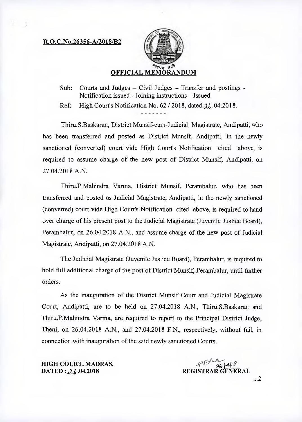#### R.O.C.No.26356-A/2018/B2



# OFFICIAL MEMORANDUM

Sub: Courts and Judges — Civil Judges — Transfer and postings - Notification issued - Joining instructions — Issued.

Ref: High Court's Notification No.  $62/2018$ , dated:  $\lambda$  6.04.2018.

Thiru.S.Baskaran, District Munsif-cum-Judicial Magistrate, Andipatti, who has been transferred and posted as District Munsif, Andipatti, in the newly sanctioned (converted) court vide High Court's Notification cited above, is required to assume charge of the new post of District Munsif, Andipatti, on 27.04.2018 A.N.

Thiru.P.Mahindra Varma, District Munsif, Perambalur, who has been transferred and posted as Judicial Magistrate, Andipatti, in the newly sanctioned (converted) court vide High Court's Notification cited above, is required to hand over charge of his present post to the Judicial Magistrate (Juvenile Justice Board), Perambalur, on 26.04.2018 A.N., and assume charge of the new post of Judicial Magistrate, Andipatti, on 27.04.2018 A.N.

The Judicial Magistrate (Juvenile Justice Board), Perambalur, is required to hold full additional charge of the post of District Munsif, Perambalur, until further orders.

As the inauguration of the District Munsif Court and Judicial Magistrate Court, Andipatti, are to be held on 27.04.2018 A.N., Thiru.S.Baskaran and Thiru.P.Mahindra Varma, are required to report to the Principal District Judge, Theni, on 26.04.2018 A.N., and 27.04.2018 F.N., respectively, without fail, in connection with inauguration of the said newly sanctioned Courts.

HIGH COURT, MADRAS. DATED : 26.04.2018

*dc..0'4`4 4/<sup>1</sup>* REGISTRAR GENERAL ...2